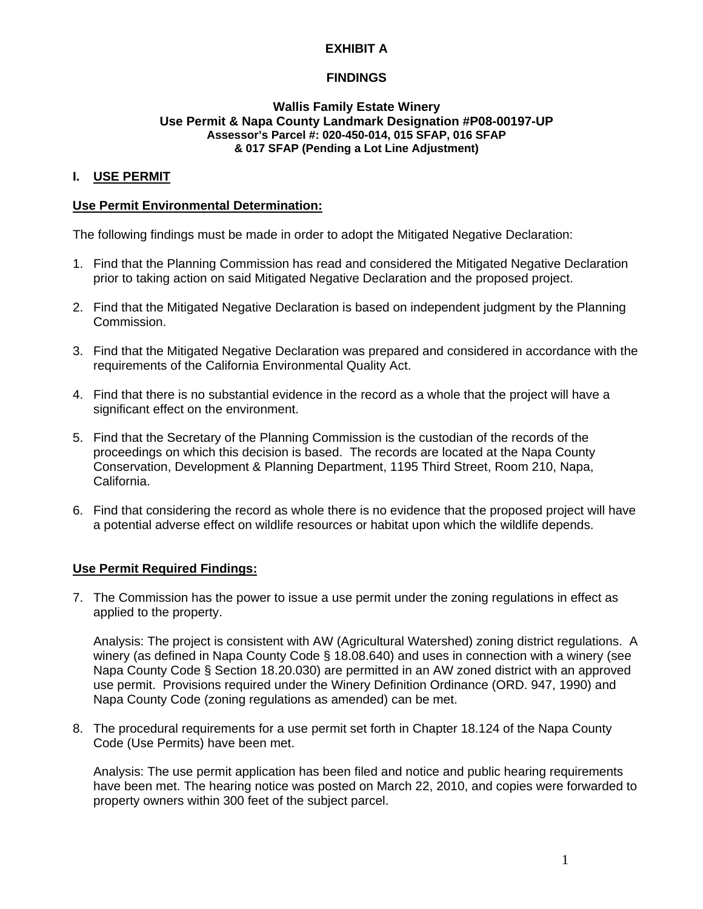# **EXHIBIT A**

# **FINDINGS**

#### **Wallis Family Estate Winery Use Permit & Napa County Landmark Designation #P08-00197-UP Assessor's Parcel #: 020-450-014, 015 SFAP, 016 SFAP & 017 SFAP (Pending a Lot Line Adjustment)**

### **I. USE PERMIT**

#### **Use Permit Environmental Determination:**

The following findings must be made in order to adopt the Mitigated Negative Declaration:

- 1. Find that the Planning Commission has read and considered the Mitigated Negative Declaration prior to taking action on said Mitigated Negative Declaration and the proposed project.
- 2. Find that the Mitigated Negative Declaration is based on independent judgment by the Planning Commission.
- 3. Find that the Mitigated Negative Declaration was prepared and considered in accordance with the requirements of the California Environmental Quality Act.
- 4. Find that there is no substantial evidence in the record as a whole that the project will have a significant effect on the environment.
- 5. Find that the Secretary of the Planning Commission is the custodian of the records of the proceedings on which this decision is based. The records are located at the Napa County Conservation, Development & Planning Department, 1195 Third Street, Room 210, Napa, California.
- 6. Find that considering the record as whole there is no evidence that the proposed project will have a potential adverse effect on wildlife resources or habitat upon which the wildlife depends.

### **Use Permit Required Findings:**

7. The Commission has the power to issue a use permit under the zoning regulations in effect as applied to the property.

Analysis: The project is consistent with AW (Agricultural Watershed) zoning district regulations. A winery (as defined in Napa County Code § 18.08.640) and uses in connection with a winery (see Napa County Code § Section 18.20.030) are permitted in an AW zoned district with an approved use permit. Provisions required under the Winery Definition Ordinance (ORD. 947, 1990) and Napa County Code (zoning regulations as amended) can be met.

8. The procedural requirements for a use permit set forth in Chapter 18.124 of the Napa County Code (Use Permits) have been met.

Analysis: The use permit application has been filed and notice and public hearing requirements have been met. The hearing notice was posted on March 22, 2010, and copies were forwarded to property owners within 300 feet of the subject parcel.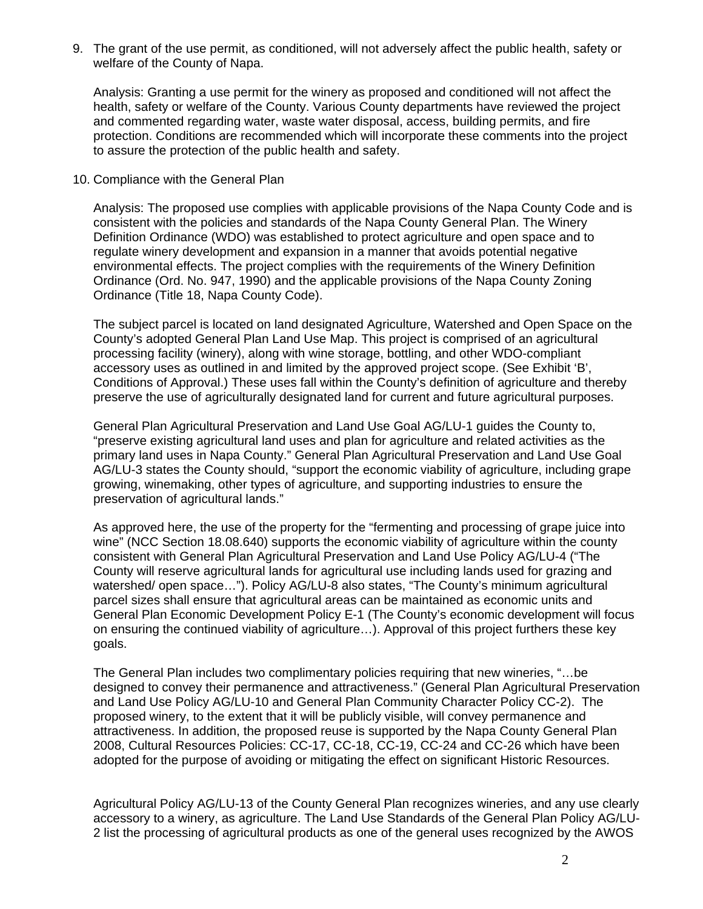9. The grant of the use permit, as conditioned, will not adversely affect the public health, safety or welfare of the County of Napa.

Analysis: Granting a use permit for the winery as proposed and conditioned will not affect the health, safety or welfare of the County. Various County departments have reviewed the project and commented regarding water, waste water disposal, access, building permits, and fire protection. Conditions are recommended which will incorporate these comments into the project to assure the protection of the public health and safety.

10. Compliance with the General Plan

Analysis: The proposed use complies with applicable provisions of the Napa County Code and is consistent with the policies and standards of the Napa County General Plan. The Winery Definition Ordinance (WDO) was established to protect agriculture and open space and to regulate winery development and expansion in a manner that avoids potential negative environmental effects. The project complies with the requirements of the Winery Definition Ordinance (Ord. No. 947, 1990) and the applicable provisions of the Napa County Zoning Ordinance (Title 18, Napa County Code).

The subject parcel is located on land designated Agriculture, Watershed and Open Space on the County's adopted General Plan Land Use Map. This project is comprised of an agricultural processing facility (winery), along with wine storage, bottling, and other WDO-compliant accessory uses as outlined in and limited by the approved project scope. (See Exhibit 'B', Conditions of Approval.) These uses fall within the County's definition of agriculture and thereby preserve the use of agriculturally designated land for current and future agricultural purposes.

General Plan Agricultural Preservation and Land Use Goal AG/LU-1 guides the County to, "preserve existing agricultural land uses and plan for agriculture and related activities as the primary land uses in Napa County." General Plan Agricultural Preservation and Land Use Goal AG/LU-3 states the County should, "support the economic viability of agriculture, including grape growing, winemaking, other types of agriculture, and supporting industries to ensure the preservation of agricultural lands."

As approved here, the use of the property for the "fermenting and processing of grape juice into wine" (NCC Section 18.08.640) supports the economic viability of agriculture within the county consistent with General Plan Agricultural Preservation and Land Use Policy AG/LU-4 ("The County will reserve agricultural lands for agricultural use including lands used for grazing and watershed/ open space…"). Policy AG/LU-8 also states, "The County's minimum agricultural parcel sizes shall ensure that agricultural areas can be maintained as economic units and General Plan Economic Development Policy E-1 (The County's economic development will focus on ensuring the continued viability of agriculture…). Approval of this project furthers these key goals.

The General Plan includes two complimentary policies requiring that new wineries, "…be designed to convey their permanence and attractiveness." (General Plan Agricultural Preservation and Land Use Policy AG/LU-10 and General Plan Community Character Policy CC-2). The proposed winery, to the extent that it will be publicly visible, will convey permanence and attractiveness. In addition, the proposed reuse is supported by the Napa County General Plan 2008, Cultural Resources Policies: CC-17, CC-18, CC-19, CC-24 and CC-26 which have been adopted for the purpose of avoiding or mitigating the effect on significant Historic Resources.

Agricultural Policy AG/LU-13 of the County General Plan recognizes wineries, and any use clearly accessory to a winery, as agriculture. The Land Use Standards of the General Plan Policy AG/LU-2 list the processing of agricultural products as one of the general uses recognized by the AWOS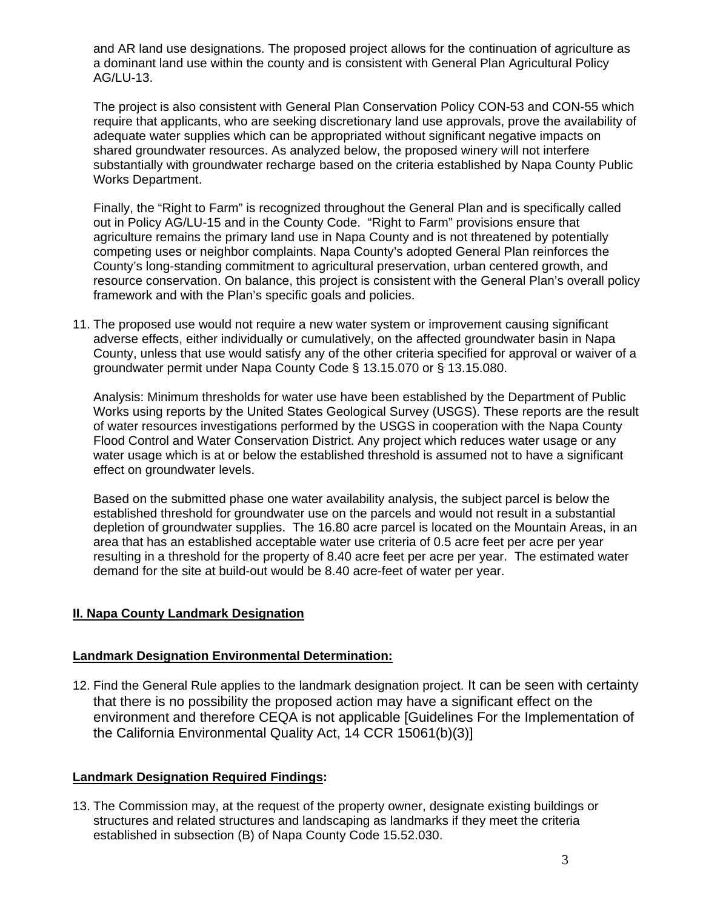and AR land use designations. The proposed project allows for the continuation of agriculture as a dominant land use within the county and is consistent with General Plan Agricultural Policy AG/LU-13.

The project is also consistent with General Plan Conservation Policy CON-53 and CON-55 which require that applicants, who are seeking discretionary land use approvals, prove the availability of adequate water supplies which can be appropriated without significant negative impacts on shared groundwater resources. As analyzed below, the proposed winery will not interfere substantially with groundwater recharge based on the criteria established by Napa County Public Works Department.

Finally, the "Right to Farm" is recognized throughout the General Plan and is specifically called out in Policy AG/LU-15 and in the County Code. "Right to Farm" provisions ensure that agriculture remains the primary land use in Napa County and is not threatened by potentially competing uses or neighbor complaints. Napa County's adopted General Plan reinforces the County's long-standing commitment to agricultural preservation, urban centered growth, and resource conservation. On balance, this project is consistent with the General Plan's overall policy framework and with the Plan's specific goals and policies.

11. The proposed use would not require a new water system or improvement causing significant adverse effects, either individually or cumulatively, on the affected groundwater basin in Napa County, unless that use would satisfy any of the other criteria specified for approval or waiver of a groundwater permit under Napa County Code § 13.15.070 or § 13.15.080.

Analysis: Minimum thresholds for water use have been established by the Department of Public Works using reports by the United States Geological Survey (USGS). These reports are the result of water resources investigations performed by the USGS in cooperation with the Napa County Flood Control and Water Conservation District. Any project which reduces water usage or any water usage which is at or below the established threshold is assumed not to have a significant effect on groundwater levels.

Based on the submitted phase one water availability analysis, the subject parcel is below the established threshold for groundwater use on the parcels and would not result in a substantial depletion of groundwater supplies. The 16.80 acre parcel is located on the Mountain Areas, in an area that has an established acceptable water use criteria of 0.5 acre feet per acre per year resulting in a threshold for the property of 8.40 acre feet per acre per year. The estimated water demand for the site at build-out would be 8.40 acre-feet of water per year.

# **II. Napa County Landmark Designation**

# **Landmark Designation Environmental Determination:**

12. Find the General Rule applies to the landmark designation project. It can be seen with certainty that there is no possibility the proposed action may have a significant effect on the environment and therefore CEQA is not applicable [Guidelines For the Implementation of the California Environmental Quality Act, 14 CCR 15061(b)(3)]

# **Landmark Designation Required Findings:**

13. The Commission may, at the request of the property owner, designate existing buildings or structures and related structures and landscaping as landmarks if they meet the criteria established in subsection (B) of Napa County Code 15.52.030.